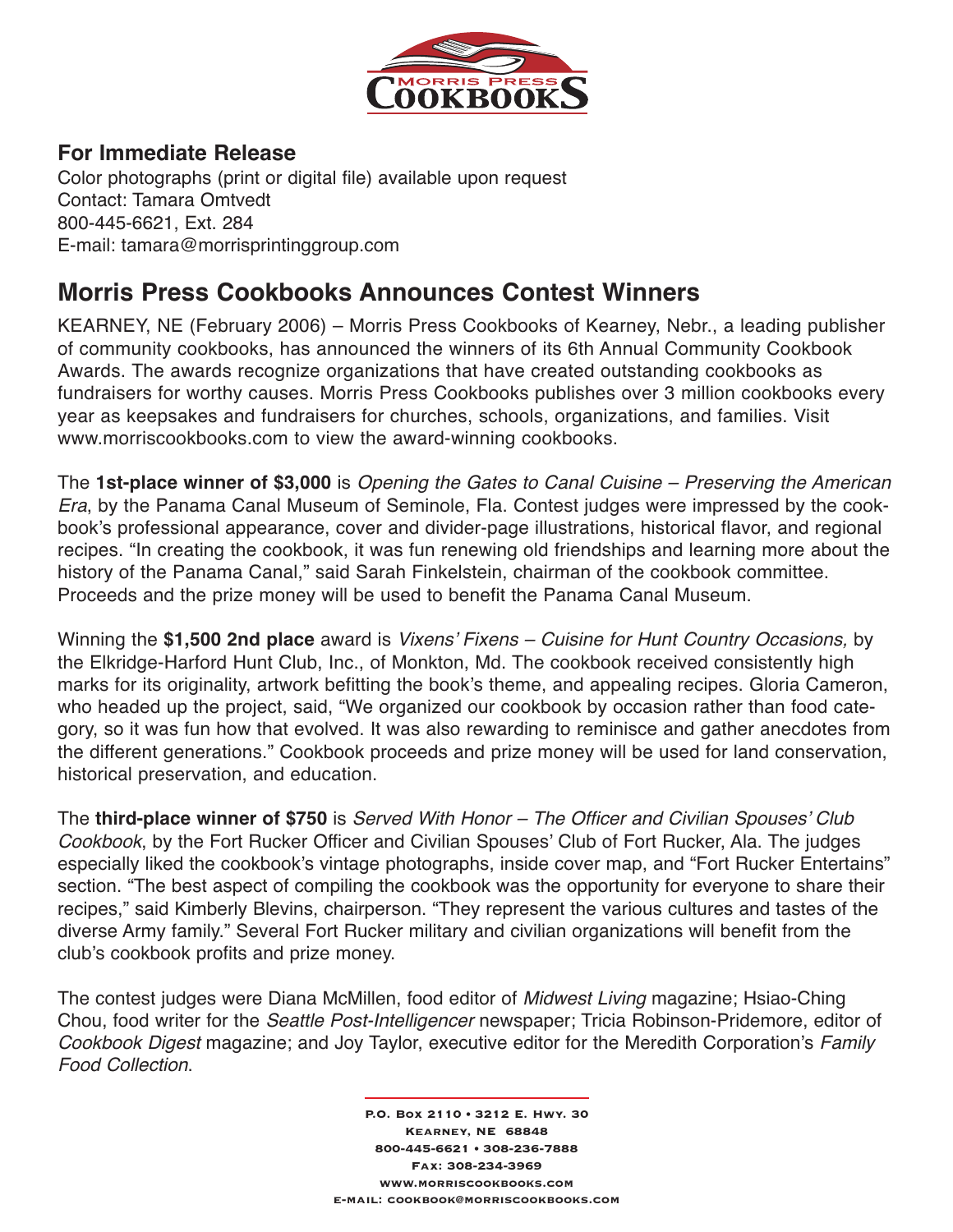

## **For Immediate Release**

Color photographs (print or digital file) available upon request Contact: Tamara Omtvedt 800-445-6621, Ext. 284 E-mail: tamara@morrisprintinggroup.com

# **Morris Press Cookbooks Announces Contest Winners**

KEARNEY, NE (February 2006) – Morris Press Cookbooks of Kearney, Nebr., a leading publisher of community cookbooks, has announced the winners of its 6th Annual Community Cookbook Awards. The awards recognize organizations that have created outstanding cookbooks as fundraisers for worthy causes. Morris Press Cookbooks publishes over 3 million cookbooks every year as keepsakes and fundraisers for churches, schools, organizations, and families. Visit www.morriscookbooks.com to view the award-winning cookbooks.

The **1st-place winner of \$3,000** is Opening the Gates to Canal Cuisine – Preserving the American Era, by the Panama Canal Museum of Seminole, Fla. Contest judges were impressed by the cookbook's professional appearance, cover and divider-page illustrations, historical flavor, and regional recipes. "In creating the cookbook, it was fun renewing old friendships and learning more about the history of the Panama Canal," said Sarah Finkelstein, chairman of the cookbook committee. Proceeds and the prize money will be used to benefit the Panama Canal Museum.

Winning the **\$1,500 2nd place** award is Vixens' Fixens – Cuisine for Hunt Country Occasions, by the Elkridge-Harford Hunt Club, Inc., of Monkton, Md. The cookbook received consistently high marks for its originality, artwork befitting the book's theme, and appealing recipes. Gloria Cameron, who headed up the project, said, "We organized our cookbook by occasion rather than food category, so it was fun how that evolved. It was also rewarding to reminisce and gather anecdotes from the different generations." Cookbook proceeds and prize money will be used for land conservation, historical preservation, and education.

The **third-place winner of \$750** is Served With Honor – The Officer and Civilian Spouses' Club Cookbook, by the Fort Rucker Officer and Civilian Spouses' Club of Fort Rucker, Ala. The judges especially liked the cookbook's vintage photographs, inside cover map, and "Fort Rucker Entertains" section. "The best aspect of compiling the cookbook was the opportunity for everyone to share their recipes," said Kimberly Blevins, chairperson. "They represent the various cultures and tastes of the diverse Army family." Several Fort Rucker military and civilian organizations will benefit from the club's cookbook profits and prize money.

The contest judges were Diana McMillen, food editor of Midwest Living magazine; Hsiao-Ching Chou, food writer for the Seattle Post-Intelligencer newspaper; Tricia Robinson-Pridemore, editor of Cookbook Digest magazine; and Joy Taylor, executive editor for the Meredith Corporation's Family Food Collection.

> P.O. Box 2110 • 3212 E. Hwy. 30 Kearney, NE 68848 800-445-6621 • 308-236-7888 Fax: 308-234-3969 www.morriscookbooks.com e-mail: cookbook@morriscookbooks.com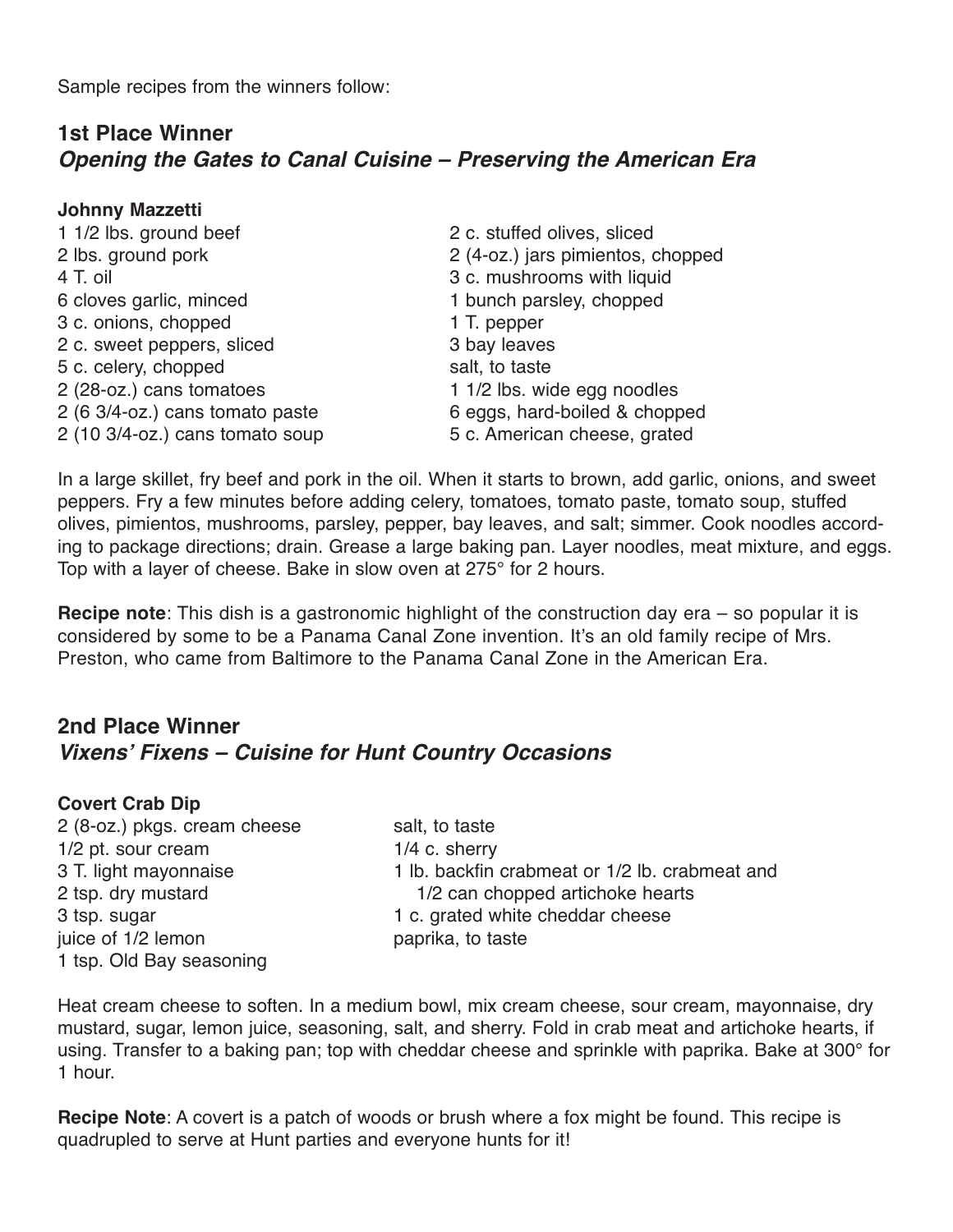Sample recipes from the winners follow:

### **1st Place Winner** *Opening the Gates to Canal Cuisine – Preserving the American Era*

#### **Johnny Mazzetti**

| 2 c. stuffed olives, sliced       |
|-----------------------------------|
| 2 (4-oz.) jars pimientos, chopped |
| 3 c. mushrooms with liquid        |
| 1 bunch parsley, chopped          |
| 1 T. pepper                       |
| 3 bay leaves                      |
| salt, to taste                    |
| 1 1/2 lbs. wide egg noodles       |
| 6 eggs, hard-boiled & chopped     |
| 5 c. American cheese, grated      |
|                                   |

In a large skillet, fry beef and pork in the oil. When it starts to brown, add garlic, onions, and sweet peppers. Fry a few minutes before adding celery, tomatoes, tomato paste, tomato soup, stuffed olives, pimientos, mushrooms, parsley, pepper, bay leaves, and salt; simmer. Cook noodles according to package directions; drain. Grease a large baking pan. Layer noodles, meat mixture, and eggs. Top with a layer of cheese. Bake in slow oven at 275° for 2 hours.

**Recipe note**: This dish is a gastronomic highlight of the construction day era – so popular it is considered by some to be a Panama Canal Zone invention. It's an old family recipe of Mrs. Preston, who came from Baltimore to the Panama Canal Zone in the American Era.

# **2nd Place Winner** *Vixens' Fixens – Cuisine for Hunt Country Occasions*

### **Covert Crab Dip**

2 (8-oz.) pkgs. cream cheese salt, to taste 1/2 pt. sour cream 1/4 c. sherry juice of 1/2 lemon paprika, to taste 1 tsp. Old Bay seasoning

3 T. light mayonnaise 1 lb. backfin crabmeat or 1/2 lb. crabmeat and 2 tsp. dry mustard 1/2 can chopped artichoke hearts 3 tsp. sugar 1 c. grated white cheddar cheese

Heat cream cheese to soften. In a medium bowl, mix cream cheese, sour cream, mayonnaise, dry mustard, sugar, lemon juice, seasoning, salt, and sherry. Fold in crab meat and artichoke hearts, if using. Transfer to a baking pan; top with cheddar cheese and sprinkle with paprika. Bake at 300° for 1 hour.

**Recipe Note**: A covert is a patch of woods or brush where a fox might be found. This recipe is quadrupled to serve at Hunt parties and everyone hunts for it!